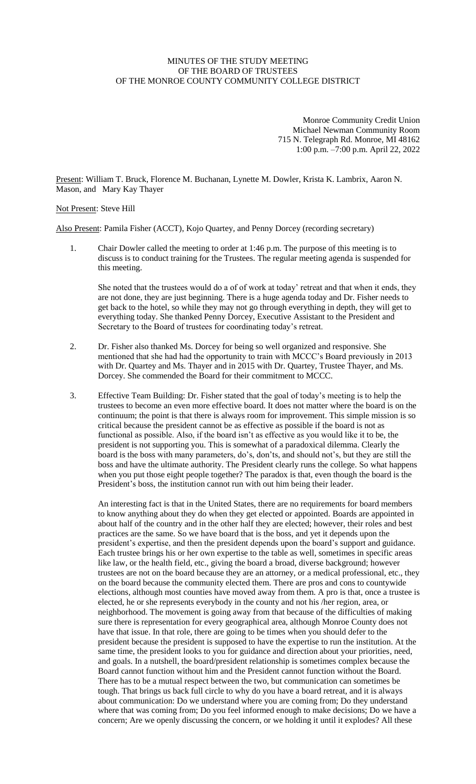## MINUTES OF THE STUDY MEETING OF THE BOARD OF TRUSTEES OF THE MONROE COUNTY COMMUNITY COLLEGE DISTRICT

Monroe Community Credit Union Michael Newman Community Room 715 N. Telegraph Rd. Monroe, MI 48162 1:00 p.m. –7:00 p.m. April 22, 2022

Present: William T. Bruck, Florence M. Buchanan, Lynette M. Dowler, Krista K. Lambrix, Aaron N. Mason, and Mary Kay Thayer

## Not Present: Steve Hill

Also Present: Pamila Fisher (ACCT), Kojo Quartey, and Penny Dorcey (recording secretary)

1. Chair Dowler called the meeting to order at 1:46 p.m. The purpose of this meeting is to discuss is to conduct training for the Trustees. The regular meeting agenda is suspended for this meeting.

She noted that the trustees would do a of of work at today' retreat and that when it ends, they are not done, they are just beginning. There is a huge agenda today and Dr. Fisher needs to get back to the hotel, so while they may not go through everything in depth, they will get to everything today. She thanked Penny Dorcey, Executive Assistant to the President and Secretary to the Board of trustees for coordinating today's retreat.

- 2. Dr. Fisher also thanked Ms. Dorcey for being so well organized and responsive. She mentioned that she had had the opportunity to train with MCCC's Board previously in 2013 with Dr. Quartey and Ms. Thayer and in 2015 with Dr. Quartey, Trustee Thayer, and Ms. Dorcey. She commended the Board for their commitment to MCCC.
- 3. Effective Team Building: Dr. Fisher stated that the goal of today's meeting is to help the trustees to become an even more effective board. It does not matter where the board is on the continuum; the point is that there is always room for improvement. This simple mission is so critical because the president cannot be as effective as possible if the board is not as functional as possible. Also, if the board isn't as effective as you would like it to be, the president is not supporting you. This is somewhat of a paradoxical dilemma. Clearly the board is the boss with many parameters, do's, don'ts, and should not's, but they are still the boss and have the ultimate authority. The President clearly runs the college. So what happens when you put those eight people together? The paradox is that, even though the board is the President's boss, the institution cannot run with out him being their leader.

An interesting fact is that in the United States, there are no requirements for board members to know anything about they do when they get elected or appointed. Boards are appointed in about half of the country and in the other half they are elected; however, their roles and best practices are the same. So we have board that is the boss, and yet it depends upon the president's expertise, and then the president depends upon the board's support and guidance. Each trustee brings his or her own expertise to the table as well, sometimes in specific areas like law, or the health field, etc., giving the board a broad, diverse background; however trustees are not on the board because they are an attorney, or a medical professional, etc., they on the board because the community elected them. There are pros and cons to countywide elections, although most counties have moved away from them. A pro is that, once a trustee is elected, he or she represents everybody in the county and not his /her region, area, or neighborhood. The movement is going away from that because of the difficulties of making sure there is representation for every geographical area, although Monroe County does not have that issue. In that role, there are going to be times when you should defer to the president because the president is supposed to have the expertise to run the institution. At the same time, the president looks to you for guidance and direction about your priorities, need, and goals. In a nutshell, the board/president relationship is sometimes complex because the Board cannot function without him and the President cannot function without the Board. There has to be a mutual respect between the two, but communication can sometimes be tough. That brings us back full circle to why do you have a board retreat, and it is always about communication: Do we understand where you are coming from; Do they understand where that was coming from; Do you feel informed enough to make decisions; Do we have a concern; Are we openly discussing the concern, or we holding it until it explodes? All these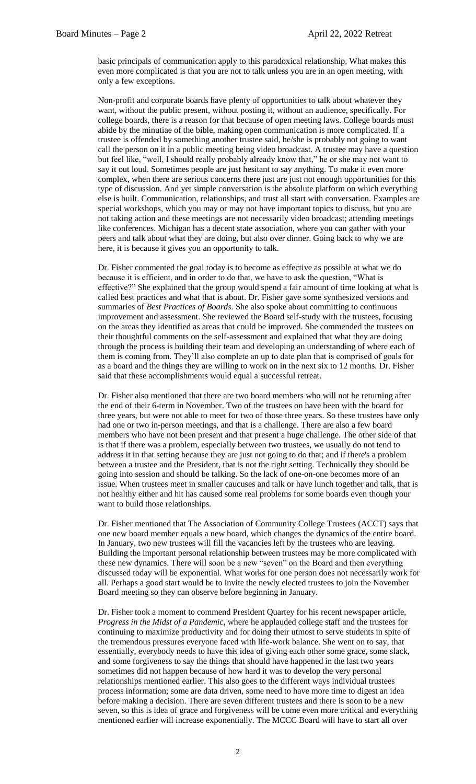basic principals of communication apply to this paradoxical relationship. What makes this even more complicated is that you are not to talk unless you are in an open meeting, with only a few exceptions.

Non-profit and corporate boards have plenty of opportunities to talk about whatever they want, without the public present, without posting it, without an audience, specifically. For college boards, there is a reason for that because of open meeting laws. College boards must abide by the minutiae of the bible, making open communication is more complicated. If a trustee is offended by something another trustee said, he/she is probably not going to want call the person on it in a public meeting being video broadcast. A trustee may have a question but feel like, "well, I should really probably already know that," he or she may not want to say it out loud. Sometimes people are just hesitant to say anything. To make it even more complex, when there are serious concerns there just are just not enough opportunities for this type of discussion. And yet simple conversation is the absolute platform on which everything else is built. Communication, relationships, and trust all start with conversation. Examples are special workshops, which you may or may not have important topics to discuss, but you are not taking action and these meetings are not necessarily video broadcast; attending meetings like conferences. Michigan has a decent state association, where you can gather with your peers and talk about what they are doing, but also over dinner. Going back to why we are here, it is because it gives you an opportunity to talk.

Dr. Fisher commented the goal today is to become as effective as possible at what we do because it is efficient, and in order to do that, we have to ask the question, "What is effective?" She explained that the group would spend a fair amount of time looking at what is called best practices and what that is about. Dr. Fisher gave some synthesized versions and summaries of *Best Practices of Boards.* She also spoke about committing to continuous improvement and assessment. She reviewed the Board self-study with the trustees, focusing on the areas they identified as areas that could be improved. She commended the trustees on their thoughtful comments on the self-assessment and explained that what they are doing through the process is building their team and developing an understanding of where each of them is coming from. They'll also complete an up to date plan that is comprised of goals for as a board and the things they are willing to work on in the next six to 12 months. Dr. Fisher said that these accomplishments would equal a successful retreat.

Dr. Fisher also mentioned that there are two board members who will not be returning after the end of their 6-term in November. Two of the trustees on have been with the board for three years, but were not able to meet for two of those three years. So these trustees have only had one or two in-person meetings, and that is a challenge. There are also a few board members who have not been present and that present a huge challenge. The other side of that is that if there was a problem, especially between two trustees, we usually do not tend to address it in that setting because they are just not going to do that; and if there's a problem between a trustee and the President, that is not the right setting. Technically they should be going into session and should be talking. So the lack of one-on-one becomes more of an issue. When trustees meet in smaller caucuses and talk or have lunch together and talk, that is not healthy either and hit has caused some real problems for some boards even though your want to build those relationships.

Dr. Fisher mentioned that The Association of Community College Trustees (ACCT) says that one new board member equals a new board, which changes the dynamics of the entire board. In January, two new trustees will fill the vacancies left by the trustees who are leaving. Building the important personal relationship between trustees may be more complicated with these new dynamics. There will soon be a new "seven" on the Board and then everything discussed today will be exponential. What works for one person does not necessarily work for all. Perhaps a good start would be to invite the newly elected trustees to join the November Board meeting so they can observe before beginning in January.

Dr. Fisher took a moment to commend President Quartey for his recent newspaper article, *Progress in the Midst of a Pandemic,* where he applauded college staff and the trustees for continuing to maximize productivity and for doing their utmost to serve students in spite of the tremendous pressures everyone faced with life-work balance. She went on to say, that essentially, everybody needs to have this idea of giving each other some grace, some slack, and some forgiveness to say the things that should have happened in the last two years sometimes did not happen because of how hard it was to develop the very personal relationships mentioned earlier. This also goes to the different ways individual trustees process information; some are data driven, some need to have more time to digest an idea before making a decision. There are seven different trustees and there is soon to be a new seven, so this is idea of grace and forgiveness will be come even more critical and everything mentioned earlier will increase exponentially. The MCCC Board will have to start all over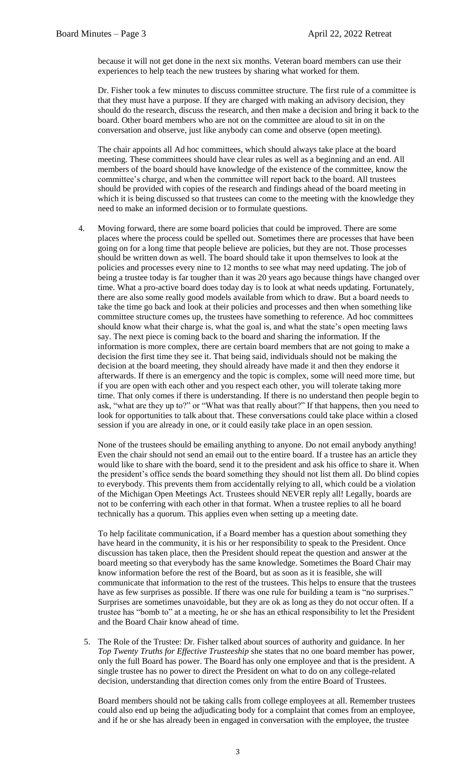because it will not get done in the next six months. Veteran board members can use their experiences to help teach the new trustees by sharing what worked for them.

Dr. Fisher took a few minutes to discuss committee structure. The first rule of a committee is that they must have a purpose. If they are charged with making an advisory decision, they should do the research, discuss the research, and then make a decision and bring it back to the board. Other board members who are not on the committee are aloud to sit in on the conversation and observe, just like anybody can come and observe (open meeting).

The chair appoints all Ad hoc committees, which should always take place at the board meeting. These committees should have clear rules as well as a beginning and an end. All members of the board should have knowledge of the existence of the committee, know the committee's charge, and when the committee will report back to the board. All trustees should be provided with copies of the research and findings ahead of the board meeting in which it is being discussed so that trustees can come to the meeting with the knowledge they need to make an informed decision or to formulate questions.

4. Moving forward, there are some board policies that could be improved. There are some places where the process could be spelled out. Sometimes there are processes that have been going on for a long time that people believe are policies, but they are not. Those processes should be written down as well. The board should take it upon themselves to look at the policies and processes every nine to 12 months to see what may need updating. The job of being a trustee today is far tougher than it was 20 years ago because things have changed over time. What a pro-active board does today day is to look at what needs updating. Fortunately, there are also some really good models available from which to draw. But a board needs to take the time go back and look at their policies and processes and then when something like committee structure comes up, the trustees have something to reference. Ad hoc committees should know what their charge is, what the goal is, and what the state's open meeting laws say. The next piece is coming back to the board and sharing the information. If the information is more complex, there are certain board members that are not going to make a decision the first time they see it. That being said, individuals should not be making the decision at the board meeting, they should already have made it and then they endorse it afterwards. If there is an emergency and the topic is complex, some will need more time, but if you are open with each other and you respect each other, you will tolerate taking more time. That only comes if there is understanding. If there is no understand then people begin to ask, "what are they up to?" or "What was that really about?" If that happens, then you need to look for opportunities to talk about that. These conversations could take place within a closed session if you are already in one, or it could easily take place in an open session.

None of the trustees should be emailing anything to anyone. Do not email anybody anything! Even the chair should not send an email out to the entire board. If a trustee has an article they would like to share with the board, send it to the president and ask his office to share it. When the president's office sends the board something they should not list them all. Do blind copies to everybody. This prevents them from accidentally relying to all, which could be a violation of the Michigan Open Meetings Act. Trustees should NEVER reply all! Legally, boards are not to be conferring with each other in that format. When a trustee replies to all he board technically has a quorum. This applies even when setting up a meeting date.

To help facilitate communication, if a Board member has a question about something they have heard in the community, it is his or her responsibility to speak to the President. Once discussion has taken place, then the President should repeat the question and answer at the board meeting so that everybody has the same knowledge. Sometimes the Board Chair may know information before the rest of the Board, but as soon as it is feasible, she will communicate that information to the rest of the trustees. This helps to ensure that the trustees have as few surprises as possible. If there was one rule for building a team is "no surprises." Surprises are sometimes unavoidable, but they are ok as long as they do not occur often. If a trustee has "bomb to" at a meeting, he or she has an ethical responsibility to let the President and the Board Chair know ahead of time.

5. The Role of the Trustee: Dr. Fisher talked about sources of authority and guidance. In her *Top Twenty Truths for Effective Trusteeship* she states that no one board member has power, only the full Board has power. The Board has only one employee and that is the president. A single trustee has no power to direct the President on what to do on any college-related decision, understanding that direction comes only from the entire Board of Trustees.

Board members should not be taking calls from college employees at all. Remember trustees could also end up being the adjudicating body for a complaint that comes from an employee, and if he or she has already been in engaged in conversation with the employee, the trustee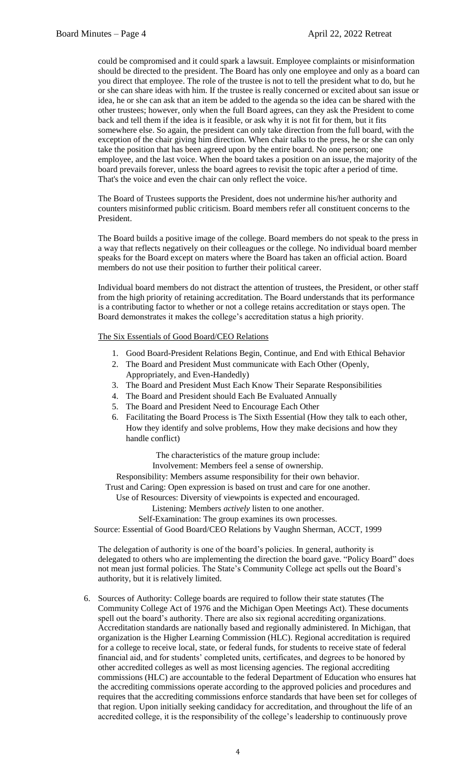could be compromised and it could spark a lawsuit. Employee complaints or misinformation should be directed to the president. The Board has only one employee and only as a board can you direct that employee. The role of the trustee is not to tell the president what to do, but he or she can share ideas with him. If the trustee is really concerned or excited about san issue or idea, he or she can ask that an item be added to the agenda so the idea can be shared with the other trustees; however, only when the full Board agrees, can they ask the President to come back and tell them if the idea is it feasible, or ask why it is not fit for them, but it fits somewhere else. So again, the president can only take direction from the full board, with the exception of the chair giving him direction. When chair talks to the press, he or she can only take the position that has been agreed upon by the entire board. No one person; one employee, and the last voice. When the board takes a position on an issue, the majority of the board prevails forever, unless the board agrees to revisit the topic after a period of time. That's the voice and even the chair can only reflect the voice.

The Board of Trustees supports the President, does not undermine his/her authority and counters misinformed public criticism. Board members refer all constituent concerns to the President.

The Board builds a positive image of the college. Board members do not speak to the press in a way that reflects negatively on their colleagues or the college. No individual board member speaks for the Board except on maters where the Board has taken an official action. Board members do not use their position to further their political career.

Individual board members do not distract the attention of trustees, the President, or other staff from the high priority of retaining accreditation. The Board understands that its performance is a contributing factor to whether or not a college retains accreditation or stays open. The Board demonstrates it makes the college's accreditation status a high priority.

## The Six Essentials of Good Board/CEO Relations

- 1. Good Board-President Relations Begin, Continue, and End with Ethical Behavior
- 2. The Board and President Must communicate with Each Other (Openly, Appropriately, and Even-Handedly)
- 3. The Board and President Must Each Know Their Separate Responsibilities
- 4. The Board and President should Each Be Evaluated Annually
- 5. The Board and President Need to Encourage Each Other
- 6. Facilitating the Board Process is The Sixth Essential (How they talk to each other, How they identify and solve problems, How they make decisions and how they handle conflict)

The characteristics of the mature group include:

Involvement: Members feel a sense of ownership.

Responsibility: Members assume responsibility for their own behavior.

Trust and Caring: Open expression is based on trust and care for one another.

Use of Resources: Diversity of viewpoints is expected and encouraged.

Listening: Members *actively* listen to one another.

Self-Examination: The group examines its own processes.

Source: Essential of Good Board/CEO Relations by Vaughn Sherman, ACCT, 1999

The delegation of authority is one of the board's policies. In general, authority is delegated to others who are implementing the direction the board gave. "Policy Board" does not mean just formal policies. The State's Community College act spells out the Board's authority, but it is relatively limited.

6. Sources of Authority: College boards are required to follow their state statutes (The Community College Act of 1976 and the Michigan Open Meetings Act). These documents spell out the board's authority. There are also six regional accrediting organizations. Accreditation standards are nationally based and regionally administered. In Michigan, that organization is the Higher Learning Commission (HLC). Regional accreditation is required for a college to receive local, state, or federal funds, for students to receive state of federal financial aid, and for students' completed units, certificates, and degrees to be honored by other accredited colleges as well as most licensing agencies. The regional accrediting commissions (HLC) are accountable to the federal Department of Education who ensures hat the accrediting commissions operate according to the approved policies and procedures and requires that the accrediting commissions enforce standards that have been set for colleges of that region. Upon initially seeking candidacy for accreditation, and throughout the life of an accredited college, it is the responsibility of the college's leadership to continuously prove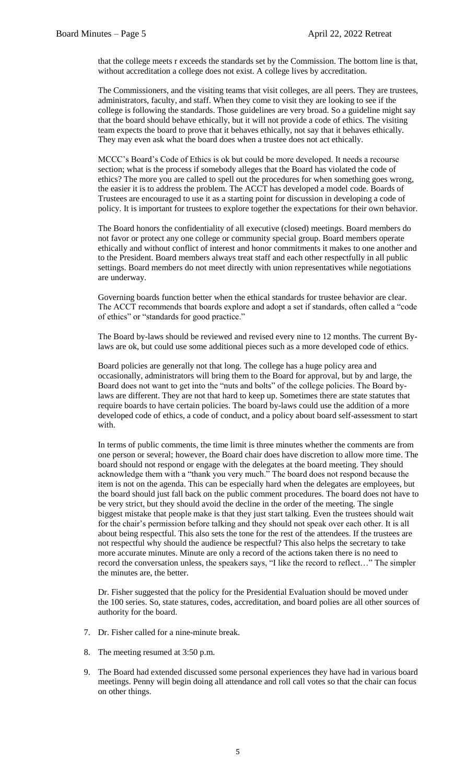that the college meets r exceeds the standards set by the Commission. The bottom line is that, without accreditation a college does not exist. A college lives by accreditation.

The Commissioners, and the visiting teams that visit colleges, are all peers. They are trustees, administrators, faculty, and staff. When they come to visit they are looking to see if the college is following the standards. Those guidelines are very broad. So a guideline might say that the board should behave ethically, but it will not provide a code of ethics. The visiting team expects the board to prove that it behaves ethically, not say that it behaves ethically. They may even ask what the board does when a trustee does not act ethically.

MCCC's Board's Code of Ethics is ok but could be more developed. It needs a recourse section; what is the process if somebody alleges that the Board has violated the code of ethics? The more you are called to spell out the procedures for when something goes wrong, the easier it is to address the problem. The ACCT has developed a model code. Boards of Trustees are encouraged to use it as a starting point for discussion in developing a code of policy. It is important for trustees to explore together the expectations for their own behavior.

The Board honors the confidentiality of all executive (closed) meetings. Board members do not favor or protect any one college or community special group. Board members operate ethically and without conflict of interest and honor commitments it makes to one another and to the President. Board members always treat staff and each other respectfully in all public settings. Board members do not meet directly with union representatives while negotiations are underway.

Governing boards function better when the ethical standards for trustee behavior are clear. The ACCT recommends that boards explore and adopt a set if standards, often called a "code of ethics" or "standards for good practice."

The Board by-laws should be reviewed and revised every nine to 12 months. The current Bylaws are ok, but could use some additional pieces such as a more developed code of ethics.

Board policies are generally not that long. The college has a huge policy area and occasionally, administrators will bring them to the Board for approval, but by and large, the Board does not want to get into the "nuts and bolts" of the college policies. The Board bylaws are different. They are not that hard to keep up. Sometimes there are state statutes that require boards to have certain policies. The board by-laws could use the addition of a more developed code of ethics, a code of conduct, and a policy about board self-assessment to start with.

In terms of public comments, the time limit is three minutes whether the comments are from one person or several; however, the Board chair does have discretion to allow more time. The board should not respond or engage with the delegates at the board meeting. They should acknowledge them with a "thank you very much." The board does not respond because the item is not on the agenda. This can be especially hard when the delegates are employees, but the board should just fall back on the public comment procedures. The board does not have to be very strict, but they should avoid the decline in the order of the meeting. The single biggest mistake that people make is that they just start talking. Even the trustees should wait for the chair's permission before talking and they should not speak over each other. It is all about being respectful. This also sets the tone for the rest of the attendees. If the trustees are not respectful why should the audience be respectful? This also helps the secretary to take more accurate minutes. Minute are only a record of the actions taken there is no need to record the conversation unless, the speakers says, "I like the record to reflect…" The simpler the minutes are, the better.

Dr. Fisher suggested that the policy for the Presidential Evaluation should be moved under the 100 series. So, state statures, codes, accreditation, and board polies are all other sources of authority for the board.

- 7. Dr. Fisher called for a nine-minute break.
- 8. The meeting resumed at 3:50 p.m.
- 9. The Board had extended discussed some personal experiences they have had in various board meetings. Penny will begin doing all attendance and roll call votes so that the chair can focus on other things.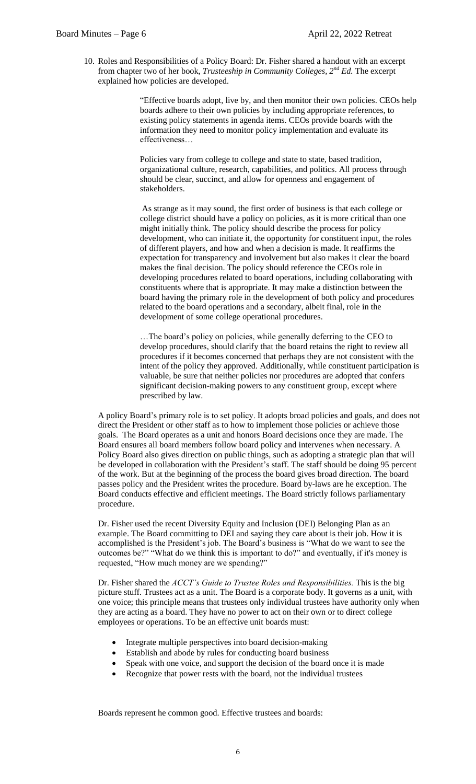10. Roles and Responsibilities of a Policy Board: Dr. Fisher shared a handout with an excerpt from chapter two of her book, *Trusteeship in Community Colleges, 2nd Ed.* The excerpt explained how policies are developed.

> "Effective boards adopt, live by, and then monitor their own policies. CEOs help boards adhere to their own policies by including appropriate references, to existing policy statements in agenda items. CEOs provide boards with the information they need to monitor policy implementation and evaluate its effectiveness…

Policies vary from college to college and state to state, based tradition, organizational culture, research, capabilities, and politics. All process through should be clear, succinct, and allow for openness and engagement of stakeholders.

As strange as it may sound, the first order of business is that each college or college district should have a policy on policies, as it is more critical than one might initially think. The policy should describe the process for policy development, who can initiate it, the opportunity for constituent input, the roles of different players, and how and when a decision is made. It reaffirms the expectation for transparency and involvement but also makes it clear the board makes the final decision. The policy should reference the CEOs role in developing procedures related to board operations, including collaborating with constituents where that is appropriate. It may make a distinction between the board having the primary role in the development of both policy and procedures related to the board operations and a secondary, albeit final, role in the development of some college operational procedures.

…The board's policy on policies, while generally deferring to the CEO to develop procedures, should clarify that the board retains the right to review all procedures if it becomes concerned that perhaps they are not consistent with the intent of the policy they approved. Additionally, while constituent participation is valuable, be sure that neither policies nor procedures are adopted that confers significant decision-making powers to any constituent group, except where prescribed by law.

A policy Board's primary role is to set policy. It adopts broad policies and goals, and does not direct the President or other staff as to how to implement those policies or achieve those goals. The Board operates as a unit and honors Board decisions once they are made. The Board ensures all board members follow board policy and intervenes when necessary. A Policy Board also gives direction on public things, such as adopting a strategic plan that will be developed in collaboration with the President's staff. The staff should be doing 95 percent of the work. But at the beginning of the process the board gives broad direction. The board passes policy and the President writes the procedure. Board by-laws are he exception. The Board conducts effective and efficient meetings. The Board strictly follows parliamentary procedure.

Dr. Fisher used the recent Diversity Equity and Inclusion (DEI) Belonging Plan as an example. The Board committing to DEI and saying they care about is their job. How it is accomplished is the President's job. The Board's business is "What do we want to see the outcomes be?" "What do we think this is important to do?" and eventually, if it's money is requested, "How much money are we spending?"

Dr. Fisher shared the *ACCT's Guide to Trustee Roles and Responsibilities.* This is the big picture stuff. Trustees act as a unit. The Board is a corporate body. It governs as a unit, with one voice; this principle means that trustees only individual trustees have authority only when they are acting as a board. They have no power to act on their own or to direct college employees or operations. To be an effective unit boards must:

- Integrate multiple perspectives into board decision-making
- Establish and abode by rules for conducting board business
- Speak with one voice, and support the decision of the board once it is made
- Recognize that power rests with the board, not the individual trustees

Boards represent he common good. Effective trustees and boards: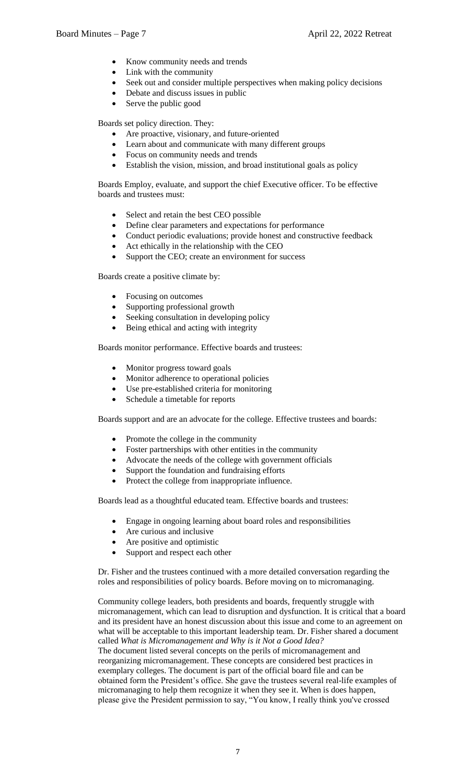- Know community needs and trends
- Link with the community
- Seek out and consider multiple perspectives when making policy decisions
- Debate and discuss issues in public
- Serve the public good

Boards set policy direction. They:

- Are proactive, visionary, and future-oriented
- Learn about and communicate with many different groups
- Focus on community needs and trends
- Establish the vision, mission, and broad institutional goals as policy

Boards Employ, evaluate, and support the chief Executive officer. To be effective boards and trustees must:

- Select and retain the best CEO possible
- Define clear parameters and expectations for performance
- Conduct periodic evaluations; provide honest and constructive feedback
- Act ethically in the relationship with the CEO
- Support the CEO; create an environment for success

Boards create a positive climate by:

- Focusing on outcomes
- Supporting professional growth
- Seeking consultation in developing policy
- Being ethical and acting with integrity

Boards monitor performance. Effective boards and trustees:

- Monitor progress toward goals
- Monitor adherence to operational policies
- Use pre-established criteria for monitoring
- Schedule a timetable for reports

Boards support and are an advocate for the college. Effective trustees and boards:

- Promote the college in the community
- Foster partnerships with other entities in the community
- Advocate the needs of the college with government officials
- Support the foundation and fundraising efforts
- Protect the college from inappropriate influence.

Boards lead as a thoughtful educated team. Effective boards and trustees:

- Engage in ongoing learning about board roles and responsibilities
- Are curious and inclusive
- Are positive and optimistic
- Support and respect each other

Dr. Fisher and the trustees continued with a more detailed conversation regarding the roles and responsibilities of policy boards. Before moving on to micromanaging.

Community college leaders, both presidents and boards, frequently struggle with micromanagement, which can lead to disruption and dysfunction. It is critical that a board and its president have an honest discussion about this issue and come to an agreement on what will be acceptable to this important leadership team. Dr. Fisher shared a document called *What is Micromanagement and Why is it Not a Good Idea?* The document listed several concepts on the perils of micromanagement and reorganizing micromanagement. These concepts are considered best practices in exemplary colleges. The document is part of the official board file and can be obtained form the President's office. She gave the trustees several real-life examples of micromanaging to help them recognize it when they see it. When is does happen, please give the President permission to say, "You know, I really think you've crossed